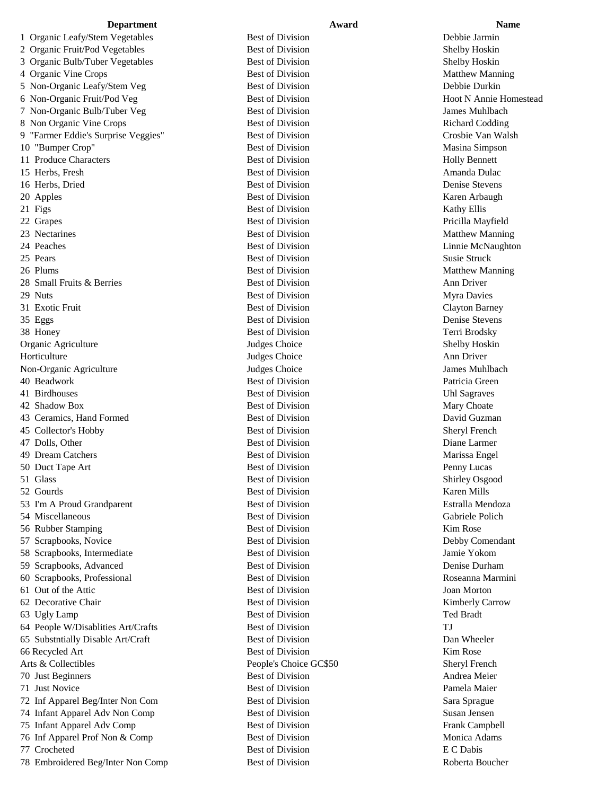1 Organic Leafy/Stem Vegetables Best of Division Best of Division Debbie Jarmin 2 Organic Fruit/Pod Vegetables Best of Division Best of Division Shelby Hoskin 3 Organic Bulb/Tuber Vegetables Best of Division Shelby Hoskin 4 Organic Vine Crops **Best of Division** Best of Division Matthew Manning 5 Non-Organic Leafy/Stem Veg Best of Division Best of Division Debbie Durkin 6 Non-Organic Fruit/Pod Veg Best of Division Best of Division Hoot N Annie Homestead 7 Non-Organic Bulb/Tuber Veg Best of Division Best of Division James Muhlbach 8 Non Organic Vine Crops Best of Division Best of Division Richard Codding 9 "Farmer Eddie's Surprise Veggies" Best of Division Crosbie Van Walsh 10 "Bumper Crop" Best of Division Best of Division Masina Simpson 11 Produce Characters **Best of Division** Best of Division **Holly Bennett** 15 Herbs, Fresh States and Best of Division Amanda Dulac 16 Herbs, Dried Best of Division Denise Stevens 20 Apples Best of Division Raren Arbaugh Karen Arbaugh Karen Arbaugh Karen Arbaugh Karen Arbaugh Karen Arbaugh 21 Figs Kathy Ellis Best of Division Rest of Division 22 Grapes and the set of Division Best of Division Pricilla Mayfield 23 Nectarines **Best of Division** Best of Division Matthew Manning 24 Peaches **Best of Division** Best of Division **Linnie McNaughton** 25 Pears Susie Struck and Susie Struck and Susie Struck and Susie Struck and Susie Struck and Susie Struck and Susie Struck 26 Plums Best of Division Best of Division Matthew Manning 28 Small Fruits & Berries **Best of Division** Best of Division Ann Driver 29 Nuts Myra Davies **Best of Division** Best of Division Myra Davies Myra Davies 31 Exotic Fruit Best of Division Clayton Barney 35 Eggs Best of Division Denise Stevens 38 Honey **Best of Division** Best of Division **Terri Brodsky** Organic Agriculture Judges Choice Shelby Hoskin Horticulture **Ann** Driver Judges Choice **Ann** Driver Non-Organic Agriculture Judges Choice James Muhlbach 40 Beadwork Best of Division Best of Division Patricia Green 41 Birdhouses **Best of Division** Best of Division **Example 2018** Uhl Sagraves 42 Shadow Box **Best of Division** Best of Division Mary Choate 43 Ceramics, Hand Formed Best of Division Best of Division David Guzman 45 Collector's Hobby Best of Division Sheryl French 47 Dolls, Other **Best of Division** Best of Division **Diane Larmer** Diane Larmer 49 Dream Catchers **Best of Division** Best of Division Marissa Engel 50 Duct Tape Art **Best of Division** Penny Lucas **Penny Lucas** 51 Glass Best of Division Shirley Osgood 52 Gourds **Best of Division** Best of Division **Karen Mills** 53 I'm A Proud Grandparent Best of Division Estralla Mendoza 54 Miscellaneous Best of Division Gabriele Polich 56 Rubber Stamping **Best of Division** Best of Division **Kim Rose** 57 Scrapbooks, Novice **Best of Division** Best of Division **Debby Comendant** 58 Scrapbooks, Intermediate Best of Division Jamie Yokom 59 Scrapbooks, Advanced Best of Division Denise Durham 60 Scrapbooks, Professional Best of Division Best of Division Roseanna Marmini 61 Out of the Attic Best of Division Joan Morton 62 Decorative Chair **Best of Division** Best of Division **Kimberly Carrow** 63 Ugly Lamp Best of Division Ted Bradt 64 People W/Disablities Art/Crafts Best of Division TJ 65 Substntially Disable Art/Craft Best of Division Dan Wheeler 66 Recycled Art **Best of Division** Best of Division **Kim Rose** Arts & Collectibles **People's Choice GC\$50** Sheryl French 70 Just Beginners and the Best of Division Best of Division Andrea Meier 71 Just Novice **Best of Division** Best of Division Pamela Maier 72 Inf Apparel Beg/Inter Non Com Best of Division Sara Sprague 74 Infant Apparel Adv Non Comp Best of Division Best of Division Susan Jensen 75 Infant Apparel Adv Comp Best of Division Best of Division Frank Campbell 76 Inf Apparel Prof Non & Comp Best of Division Best of Division Monica Adams 77 Crocheted Best of Division E C Dabis 78 Embroidered Beg/Inter Non Comp Best of Division Best of Division Roberta Boucher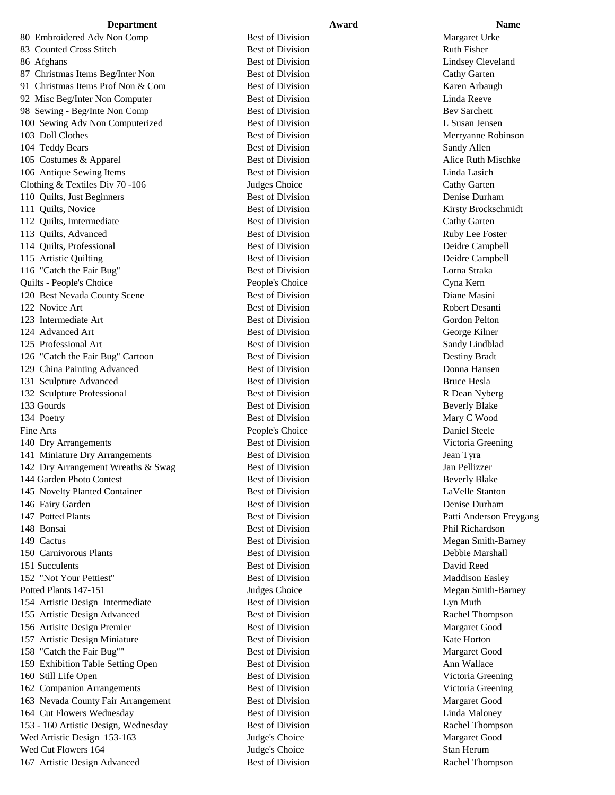80 Embroidered Adv Non Comp Best of Division Best of Division Margaret Urke 83 Counted Cross Stitch Best of Division Best of Division Ruth Fisher 86 Afghans Best of Division Best of Division Lindsey Cleveland 87 Christmas Items Beg/Inter Non Best of Division Cathy Garten Cathy Garten 91 Christmas Items Prof Non & Com Best of Division Karen Arbaugh 92 Misc Beg/Inter Non Computer Best of Division Linda Reeve 98 Sewing - Beg/Inte Non Comp Best of Division Bev Sarchett 100 Sewing Adv Non Computerized Best of Division L Susan Jensen 103 Doll Clothes Best of Division Merryanne Robinson 104 Teddy Bears Sandy Allen Best of Division Sandy Allen Sandy Allen 105 Costumes & Apparel **Best of Division** Best of Division Alice Ruth Mischke 106 Antique Sewing Items **Best of Division** Best of Division **Linda Lasich** Linda Lasich Clothing & Textiles Div 70 -106 Judges Choice Cathy Garten Cathy Garten 110 Quilts, Just Beginners **Best of Division** Best of Division Denise Durham 111 Quilts, Novice **Best of Division** Best of Division **Kirsty Brockschmidt** 112 Quilts, Imtermediate **Best of Division** Best of Division Cathy Garten 113 Quilts, Advanced Best of Division Best of Division Ruby Lee Foster 114 Quilts, Professional Best of Division Deidre Campbell 115 Artistic Quilting **115 Artistic Quilting Campbell** Best of Division **Deidre Campbell** 116 "Catch the Fair Bug" Best of Division Best of Division Lorna Straka Quilts - People's Choice People's Choice Cyna Kern 120 Best Nevada County Scene Best of Division Best of Division Diane Masini 122 Novice Art **Best of Division** Best of Division Robert Desanti 123 Intermediate Art **Best of Division** Best of Division **Gordon Pelton** 124 Advanced Art **Best of Division** Best of Division **George Kilner** 125 Professional Art **Best of Division** Best of Division Sandy Lindblad 126 "Catch the Fair Bug" Cartoon Best of Division Destiny Bradt 129 China Painting Advanced Best of Division Donna Hansen 131 Sculpture Advanced Best of Division Bruce Hesla 132 Sculpture Professional 2008 Best of Division Best of Division R Dean Nyberg 133 Gourds **Best of Division** Beverly Blake 134 Poetry **Best of Division** Best of Division Mary C Wood Fine Arts **People's Choice** Daniel Steele Daniel Steele 140 Dry Arrangements Best of Division Victoria Greening 141 Miniature Dry Arrangements Best of Division Jean Tyra 142 Dry Arrangement Wreaths & Swag Best of Division Jan Pellizzer 144 Garden Photo Contest **Best of Division** Beverly Blake 145 Novelty Planted Container Best of Division LaVelle Stanton 146 Fairy Garden **Best of Division** Best of Division **Denise Durham** Denise Durham 147 Potted Plants and Best of Division Best of Division Patti Anderson Freygang 148 Bonsai **Best of Division** Best of Division Phil Richardson 149 Cactus **Best of Division** Best of Division Megan Smith-Barney 150 Carnivorous Plants **Best of Division** Best of Division **Debbie Marshall** 151 Succulents Best of Division David Reed 152 "Not Your Pettiest" Best of Division Best of Division Maddison Easley Potted Plants 147-151 Judges Choice Megan Smith-Barney 154 Artistic Design Intermediate Best of Division Lyn Muth 155 Artistic Design Advanced Best of Division Best of Division Rachel Thompson 156 Artisitc Design Premier Best of Division Margaret Good 157 Artistic Design Miniature **Best of Division** Best of Division **Kate Horton** 158 "Catch the Fair Bug"" Best of Division Margaret Good 159 Exhibition Table Setting Open Best of Division Best of Division Ann Wallace 160 Still Life Open Best of Division Victoria Greening 162 Companion Arrangements Best of Division Victoria Greening 163 Nevada County Fair Arrangement Best of Division Margaret Good 164 Cut Flowers Wednesday Best of Division Linda Maloney 153 - 160 Artistic Design, Wednesday Best of Division Rachel Thompson Wed Artistic Design 153-163 Judge's Choice Margaret Good Wed Cut Flowers 164 and the Stan Herum Judge's Choice Stan Herum Stan Herum

167 Artistic Design Advanced Best of Division Best of Division Rachel Thompson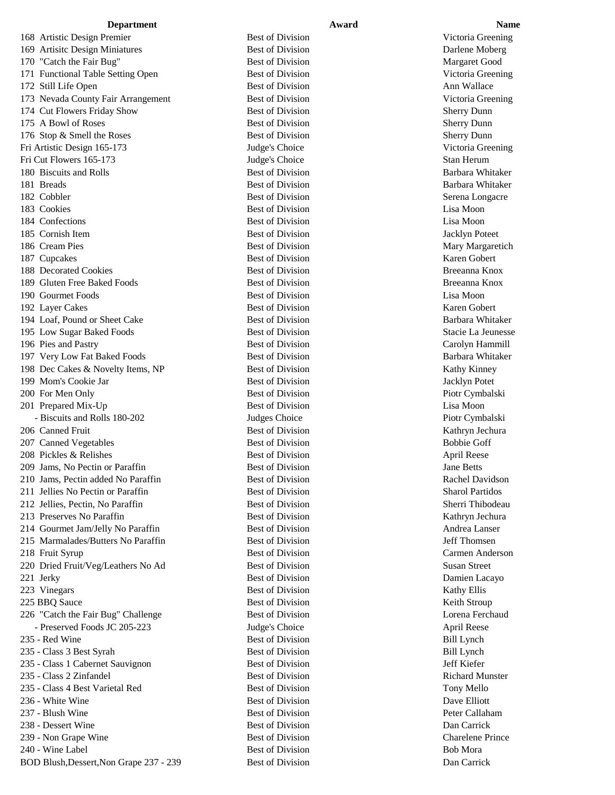### **Department Award Award Name**

168 Artistic Design Premier **Best of Division** Best of Division Victoria Greening 169 Artisitc Design Miniatures **Best of Division** Best of Division Darlene Moberg 170 "Catch the Fair Bug" Best of Division Best of Division Margaret Good 171 Functional Table Setting Open Best of Division Victoria Greening 172 Still Life Open Best of Division Best of Division Ann Wallace 173 Nevada County Fair Arrangement Best of Division Victoria Greening 174 Cut Flowers Friday Show Best of Division Best of Division Sherry Dunn 175 A Bowl of Roses **Best of Division** Best of Division Sherry Dunn 176 Stop & Smell the Roses Best of Division Best of Division Sherry Dunn Fri Artistic Design 165-173 Judge's Choice Victoria Greening Fri Cut Flowers 165-173 Judge's Choice Stan Herum 180 Biscuits and Rolls **Best of Division** Best of Division Barbara Whitaker 181 Breads **Best of Division** Barbara Whitaker 182 Cobbler Best of Division Best of Division Serena Longacre 183 Cookies Best of Division Lisa Moon 184 Confections **Best of Division** Best of Division **Lisa Moon** 185 Cornish Item **Best of Division** Best of Division **Best of Division** Jacklyn Poteet 186 Cream Pies **Best of Division** Best of Division Mary Margaretich Mary Margaretich 187 Cupcakes **Best of Division** Best of Division **Karen Gobert** Karen Gobert 188 Decorated Cookies **Best of Division** Best of Division **Breeanna Knox** 189 Gluten Free Baked Foods Best of Division Breeanna Knox 190 Gourmet Foods Best of Division Lisa Moon 192 Layer Cakes **Best of Division** Best of Division Karen Gobert 194 Loaf, Pound or Sheet Cake Best of Division Best of Division Barbara Whitaker 195 Low Sugar Baked Foods **Best of Division** Best of Division Stacie La Jeunesse 196 Pies and Pastry **Best of Division** Best of Division Carolyn Hammill 197 Very Low Fat Baked Foods **Best of Division** Barbara Whitaker 198 Dec Cakes & Novelty Items, NP Best of Division Kathy Kinney 199 Mom's Cookie Jar **Best of Division** Best of Division Jacklyn Potet 200 For Men Only **Best of Division Best of Division** Piotr Cymbalski 201 Prepared Mix-Up Best of Division Best of Division Lisa Moon - Biscuits and Rolls 180-202 Judges Choice Piotr Cymbalski 206 Canned Fruit **Best of Division** Best of Division Kathryn Jechura 207 Canned Vegetables and Bobbie Goff Best of Division Bobbie Goff Bobbie Goff 208 Pickles & Relishes and April Reese Best of Division and April Reese 209 Jams, No Pectin or Paraffin Best of Division Best of Division Jane Betts 210 Jams, Pectin added No Paraffin Best of Division Best of Division Rachel Davidson 211 Jellies No Pectin or Paraffin Best of Division Sharol Partidos 212 Jellies, Pectin, No Paraffin **Best of Division** Best of Division Sherri Thibodeau 213 Preserves No Paraffin **Best of Division** Best of Division Kathryn Jechura 214 Gourmet Jam/Jelly No Paraffin Best of Division Best of Division Andrea Lanser 215 Marmalades/Butters No Paraffin Best of Division Jeff Thomsen 218 Fruit Syrup Best of Division Carmen Anderson 220 Dried Fruit/Veg/Leathers No Ad Best of Division Susan Street 221 Jerky Best of Division Best of Division Damien Lacayo 223 Vinegars Best of Division Rathy Ellis 225 BBQ Sauce **Best of Division** Best of Division **Example 225 BBQ Sauce** Reith Stroup 226 "Catch the Fair Bug" Challenge Best of Division Lorena Ferchaud - Preserved Foods JC 205-223 Judge's Choice April Reese 235 - Red Wine Best of Division Bill Lynch 235 - Class 3 Best Syrah Best of Division Best of Division Bill Lynch 235 - Class 1 Cabernet Sauvignon Best of Division Jeff Kiefer 235 - Class 2 Zinfandel **Best of Division** Best of Division Richard Munster 235 - Class 4 Best Varietal Red Best of Division Best of Division Tony Mello 236 - White Wine **Best of Division** Best of Division **Dave Elliott** 237 - Blush Wine **Best of Division** Best of Division **Peter Callaham** 238 - Dessert Wine **Best of Division** Best of Division **Dan Carrick** Dan Carrick 239 - Non Grape Wine Best of Division Best of Division Charelene Prince 240 - Wine Label **Best of Division** Bob Mora Bob Mora

BOD Blush,Dessert,Non Grape 237 - 239 Best of Division Dan Carrick Dan Carrick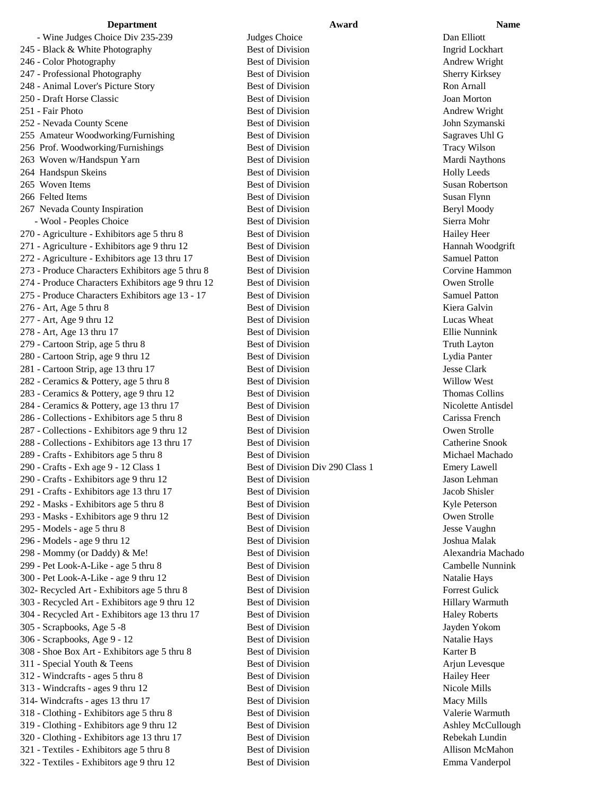- Wine Judges Choice Div 235-239 Judges Choice Dan Elliott 245 - Black & White Photography Best of Division Ingrid Lockhart 246 - Color Photography Best of Division Andrew Wright 247 - Professional Photography Best of Division Sherry Kirksey 248 - Animal Lover's Picture Story Best of Division Ron Arnall 250 - Draft Horse Classic Best of Division Joan Morton 251 - Fair Photo Best of Division Andrew Wright 252 - Nevada County Scene **Best of Division** Best of Division **John Szymanski** 255 Amateur Woodworking/Furnishing Best of Division Best of Division Sagraves Uhl G 256 Prof. Woodworking/Furnishings Best of Division Tracy Wilson 263 Woven w/Handspun Yarn **Best of Division** Best of Division Mardi Naythons 264 Handspun Skeins **Best of Division** Best of Division **Best of Division** Holly Leeds 265 Woven Items Best of Division Susan Robertson 266 Felted Items Susan Flynn Best of Division Susan Flynn Susan Flynn 267 Nevada County Inspiration **Best of Division** Best of Division **Beryl Moody** - Wool - Peoples Choice **Best of Division** Best of Division Sierra Mohr 270 - Agriculture - Exhibitors age 5 thru 8 Best of Division Hailey Heer 271 - Agriculture - Exhibitors age 9 thru 12 Best of Division Hannah Woodgrift 272 - Agriculture - Exhibitors age 13 thru 17 Best of Division Samuel Patton 273 - Produce Characters Exhibitors age 5 thru 8 Best of Division Corvine Hammon 274 - Produce Characters Exhibitors age 9 thru 12 Best of Division Owen Strolle 275 - Produce Characters Exhibitors age 13 - 17 Best of Division Samuel Patton 276 - Art, Age 5 thru 8 **Best of Division** Best of Division Kiera Galvin 277 - Art, Age 9 thru 12 Best of Division Best of Division Lucas Wheat 278 - Art, Age 13 thru 17 Best of Division Ellie Nunnink 279 - Cartoon Strip, age 5 thru 8 Best of Division Best of Division Truth Layton 280 - Cartoon Strip, age 9 thru 12 Best of Division Lydia Panter 281 - Cartoon Strip, age 13 thru 17 Best of Division Jesse Clark 282 - Ceramics & Pottery, age 5 thru 8 Best of Division Best of Division Willow West 283 - Ceramics & Pottery, age 9 thru 12 Best of Division Best of Division Thomas Collins 284 - Ceramics & Pottery, age 13 thru 17 Best of Division Nicolette Antisdel 286 - Collections - Exhibitors age 5 thru 8 Best of Division Carissa French 287 - Collections - Exhibitors age 9 thru 12 Best of Division Best over Strolle 288 - Collections - Exhibitors age 13 thru 17 Best of Division Catherine Snook 289 - Crafts - Exhibitors age 5 thru 8 Best of Division Michael Machado 290 - Crafts - Exh age 9 - 12 Class 1 Best of Division Div 290 Class 1 Emery Lawell 290 - Crafts - Exhibitors age 9 thru 12 Best of Division Jason Lehman 291 - Crafts - Exhibitors age 13 thru 17 Best of Division Jacob Shisler 292 - Masks - Exhibitors age 5 thru 8 Best of Division Rest of Division Kyle Peterson 293 - Masks - Exhibitors age 9 thru 12 Best of Division Owen Strolle 295 - Models - age 5 thru 8 Best of Division Best of Division Jesse Vaughn 296 - Models - age 9 thru 12 Best of Division Joshua Malak 298 - Mommy (or Daddy) & Me! Best of Division Best of Division Alexandria Machado 299 - Pet Look-A-Like - age 5 thru 8 Best of Division Cambelle Nunnink 300 - Pet Look-A-Like - age 9 thru 12 Best of Division Natalie Hays 302- Recycled Art - Exhibitors age 5 thru 8 Best of Division Forrest Gulick 303 - Recycled Art - Exhibitors age 9 thru 12 Best of Division Hillary Warmuth 304 - Recycled Art - Exhibitors age 13 thru 17 Best of Division Haley Roberts 305 - Scrapbooks, Age 5 -8 Best of Division Jayden Yokom 306 - Scrapbooks, Age 9 - 12 Best of Division Natalie Hays 308 - Shoe Box Art - Exhibitors age 5 thru 8 Best of Division Karter B 311 - Special Youth & Teens Best of Division Best of Division Arjun Levesque 312 - Windcrafts - ages 5 thru 8 Best of Division Hailey Heer 313 - Windcrafts - ages 9 thru 12 Best of Division Nicole Mills 314- Windcrafts - ages 13 thru 17 Best of Division Macy Mills 318 - Clothing - Exhibitors age 5 thru 8 Best of Division Valerie Warmuth 319 - Clothing - Exhibitors age 9 thru 12 Best of Division Ashley McCullough 320 - Clothing - Exhibitors age 13 thru 17 Best of Division Rebekah Lundin 321 - Textiles - Exhibitors age 5 thru 8 Best of Division **Best of Division** Allison McMahon 322 - Textiles - Exhibitors age 9 thru 12 Best of Division Emma Vanderpol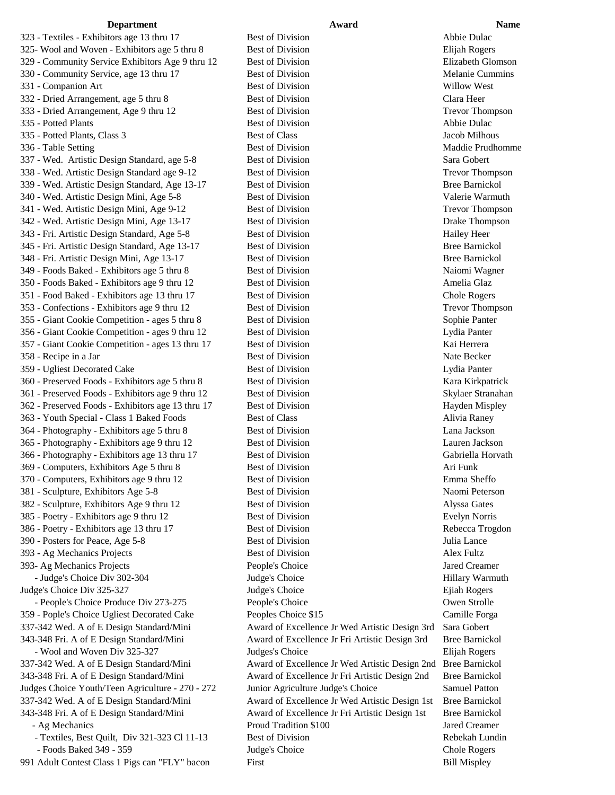323 - Textiles - Exhibitors age 13 thru 17 Best of Division Abbie Dulac 325- Wool and Woven - Exhibitors age 5 thru 8 Best of Division Bujah Rogers Elijah Rogers 329 - Community Service Exhibitors Age 9 thru 12 Best of Division Elizabeth Glomson 330 - Community Service, age 13 thru 17 Best of Division Melanie Cummins 331 - Companion Art Best of Division Willow West 332 - Dried Arrangement, age 5 thru 8 Best of Division Clara Heer 333 - Dried Arrangement, Age 9 thru 12 Best of Division Trevor Thompson 335 - Potted Plants and Abbie Dulac Best of Division and Abbie Dulac Abbie Dulac Abbie Dulac Abbie Dulac Abbie Dulac 335 - Potted Plants, Class 3 Best of Class Jacob Milhous 336 - Table Setting **Best of Division** Best of Division Maddie Prudhomme 337 - Wed. Artistic Design Standard, age 5-8 Best of Division Sara Gobert 338 - Wed. Artistic Design Standard age 9-12 Best of Division Trevor Thompson 339 - Wed. Artistic Design Standard, Age 13-17 Best of Division Bree Barnickol 340 - Wed. Artistic Design Mini, Age 5-8 Best of Division Valerie Warmuth 341 - Wed. Artistic Design Mini, Age 9-12 Best of Division Trevor Thompson 342 - Wed. Artistic Design Mini, Age 13-17 Best of Division Drake Thompson 343 - Fri. Artistic Design Standard, Age 5-8 Best of Division Hailey Heer 345 - Fri. Artistic Design Standard, Age 13-17 Best of Division Bree Barnickol 348 - Fri. Artistic Design Mini, Age 13-17 Best of Division Bree Barnickol 349 - Foods Baked - Exhibitors age 5 thru 8 Best of Division Naiomi Wagner 350 - Foods Baked - Exhibitors age 9 thru 12 Best of Division Best of Amelia Glaz 351 - Food Baked - Exhibitors age 13 thru 17 Best of Division Chole Rogers 353 - Confections - Exhibitors age 9 thru 12 Best of Division Trevor Thompson 355 - Giant Cookie Competition - ages 5 thru 8 Best of Division Sophie Panter 356 - Giant Cookie Competition - ages 9 thru 12 Best of Division Lydia Panter 357 - Giant Cookie Competition - ages 13 thru 17 Best of Division Kai Herrera 358 - Recipe in a Jar Best of Division Nate Becker 359 - Ugliest Decorated Cake Best of Division Lydia Panter 360 - Preserved Foods - Exhibitors age 5 thru 8 Best of Division Kara Kirkpatrick 361 - Preserved Foods - Exhibitors age 9 thru 12 Best of Division Skylaer Stranahan 362 - Preserved Foods - Exhibitors age 13 thru 17 Best of Division Hayden Mispley 363 - Youth Special - Class 1 Baked Foods Best of Class Alivia Raney 364 - Photography - Exhibitors age 5 thru 8 Best of Division Lana Jackson 365 - Photography - Exhibitors age 9 thru 12 Best of Division Lauren Jackson 366 - Photography - Exhibitors age 13 thru 17 Best of Division Gabriella Horvath 369 - Computers, Exhibitors Age 5 thru 8 Best of Division Ari Funk 370 - Computers, Exhibitors age 9 thru 12 Best of Division Emma Sheffo 381 - Sculpture, Exhibitors Age 5-8 Best of Division Naomi Peterson 382 - Sculpture, Exhibitors Age 9 thru 12 Best of Division Alyssa Gates 385 - Poetry - Exhibitors age 9 thru 12 Best of Division Evelyn Norris 386 - Poetry - Exhibitors age 13 thru 17 Best of Division Rebecca Trogdon 390 - Posters for Peace, Age 5-8 Best of Division Best of Division Julia Lance 393 - Ag Mechanics Projects and Best of Division Alex Fultz 393- Ag Mechanics Projects People's Choice Jared Creamer - Judge's Choice Div 302-304 Judge's Choice Hillary Warmuth Judge's Choice Div 325-327 Judge's Choice Ejiah Rogers - People's Choice Produce Div 273-275 People's Choice Owen Strolle 359 - Pople's Choice Ugliest Decorated Cake Peoples Choice \$15 Camille Forga 337-342 Wed. A of E Design Standard/Mini Award of Excellence Jr Wed Artistic Design 3rd Sara Gobert 343-348 Fri. A of E Design Standard/Mini Award of Excellence Jr Fri Artistic Design 3rd Bree Barnickol - Wool and Woven Div 325-327 Judges's Choice Elijah Rogers 337-342 Wed. A of E Design Standard/Mini Award of Excellence Jr Wed Artistic Design 2nd Bree Barnickol 343-348 Fri. A of E Design Standard/Mini Award of Excellence Jr Fri Artistic Design 2nd Bree Barnickol Judges Choice Youth/Teen Agriculture - 270 - 272 Junior Agriculture Judge's Choice Samuel Patton 337-342 Wed. A of E Design Standard/Mini Award of Excellence Jr Wed Artistic Design 1st Bree Barnickol 343-348 Fri. A of E Design Standard/Mini Award of Excellence Jr Fri Artistic Design 1st Bree Barnickol - Ag Mechanics **Proud Tradition \$100** Jared Creamer - Textiles, Best Quilt, Div 321-323 Cl 11-13 Best of Division Rebekah Lundin - Foods Baked 349 - 359 Judge's Choice Chole Rogers Chole Rogers 991 Adult Contest Class 1 Pigs can "FLY" bacon First Bill Mispley